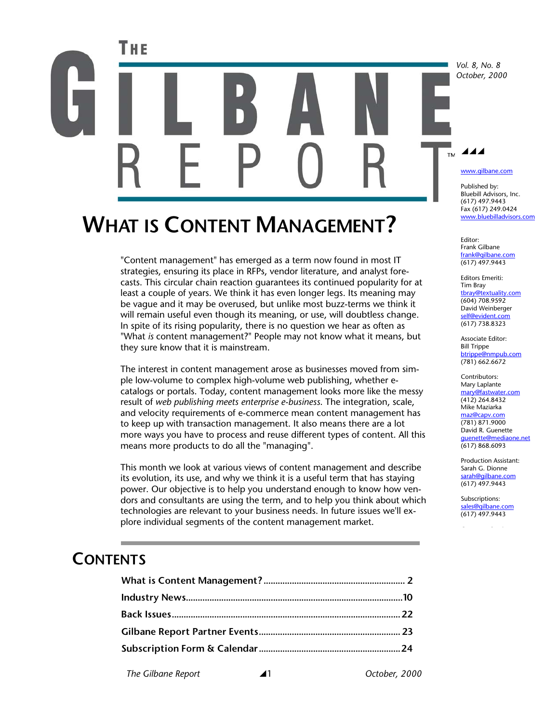# Тив  $\blacktriangle$ ™

# **WHAT IS CONTENT MANAGEMENT?**

"Content management" has emerged as a term now found in most IT strategies, ensuring its place in RFPs, vendor literature, and analyst forecasts. This circular chain reaction guarantees its continued popularity for at least a couple of years. We think it has even longer legs. Its meaning may be vague and it may be overused, but unlike most buzz-terms we think it will remain useful even though its meaning, or use, will doubtless change. In spite of its rising popularity, there is no question we hear as often as "What *is* content management?" People may not know what it means, but they sure know that it is mainstream.

The interest in content management arose as businesses moved from simple low-volume to complex high-volume web publishing, whether ecatalogs or portals. Today, content management looks more like the messy result of *web publishing meets enterprise e-business*. The integration, scale, and velocity requirements of e-commerce mean content management has to keep up with transaction management. It also means there are a lot more ways you have to process and reuse different types of content. All this means more products to do all the "managing".

This month we look at various views of content management and describe its evolution, its use, and why we think it is a useful term that has staying power. Our objective is to help you understand enough to know how vendors and consultants are using the term, and to help you think about which technologies are relevant to your business needs. In future issues we'll explore individual segments of the content management market.

## **CONTENTS**

*The Gilbane Report* \1 *October, 2000* 

*Vol. 8, No. 8 October, 2000* 

www.gilbane.com

Published by: Bluebill Advisors, Inc. (617) 497.9443 Fax (617) 249.0424 www.bluebilladvisors.com

Editor: Frank Gilbane frank@gilbane.com (617) 497.9443

Editors Emeriti: Tim Bray tbray@textuality.com (604) 708.9592 David Weinberger self@evident.com (617) 738.8323

Associate Editor: Bill Trippe btrippe@nmpub.com (781) 662.6672

Contributors: Mary Laplante mary@fastwater.com (412) 264.8432 Mike Maziarka maz@capv.com (781) 871.9000 David R. Guenette guenette@mediaone.net (617) 868.6093

Production Assistant: Sarah G. Dionne sarah@gilbane.com (617) 497.9443

Subscriptions: sales@gilbane.com (617) 497.9443

c Single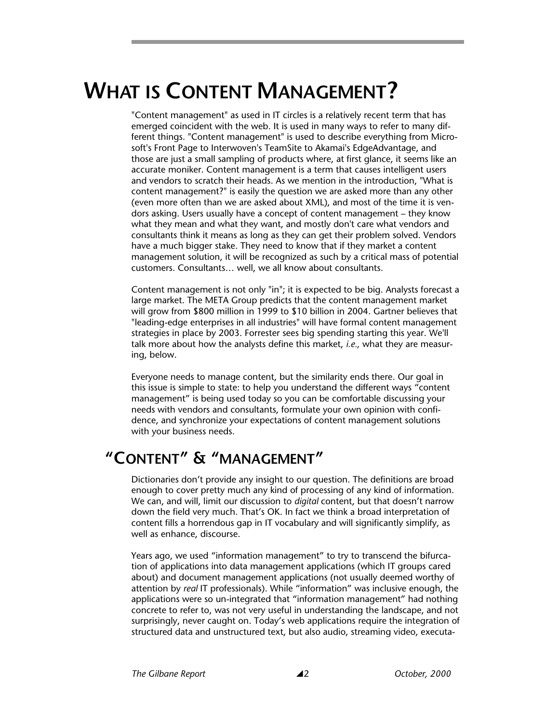# **WHAT IS CONTENT MANAGEMENT?**

"Content management" as used in IT circles is a relatively recent term that has emerged coincident with the web. It is used in many ways to refer to many different things. "Content management" is used to describe everything from Microsoft's Front Page to Interwoven's TeamSite to Akamai's EdgeAdvantage, and those are just a small sampling of products where, at first glance, it seems like an accurate moniker. Content management is a term that causes intelligent users and vendors to scratch their heads. As we mention in the introduction, "What is content management?" is easily the question we are asked more than any other (even more often than we are asked about XML), and most of the time it is vendors asking. Users usually have a concept of content management – they know what they mean and what they want, and mostly don't care what vendors and consultants think it means as long as they can get their problem solved. Vendors have a much bigger stake. They need to know that if they market a content management solution, it will be recognized as such by a critical mass of potential customers. Consultants… well, we all know about consultants.

Content management is not only "in"; it is expected to be big. Analysts forecast a large market. The META Group predicts that the content management market will grow from \$800 million in 1999 to \$10 billion in 2004. Gartner believes that "leading-edge enterprises in all industries" will have formal content management strategies in place by 2003. Forrester sees big spending starting this year. We'll talk more about how the analysts define this market, *i.e.,* what they are measuring, below.

Everyone needs to manage content, but the similarity ends there. Our goal in this issue is simple to state: to help you understand the different ways "content management" is being used today so you can be comfortable discussing your needs with vendors and consultants, formulate your own opinion with confidence, and synchronize your expectations of content management solutions with your business needs.

## **"CONTENT" & "MANAGEMENT"**

Dictionaries don't provide any insight to our question. The definitions are broad enough to cover pretty much any kind of processing of any kind of information. We can, and will, limit our discussion to *digital* content, but that doesn't narrow down the field very much. That's OK. In fact we think a broad interpretation of content fills a horrendous gap in IT vocabulary and will significantly simplify, as well as enhance, discourse.

Years ago, we used "information management" to try to transcend the bifurcation of applications into data management applications (which IT groups cared about) and document management applications (not usually deemed worthy of attention by *real* IT professionals). While "information" was inclusive enough, the applications were so un-integrated that "information management" had nothing concrete to refer to, was not very useful in understanding the landscape, and not surprisingly, never caught on. Today's web applications require the integration of structured data and unstructured text, but also audio, streaming video, executa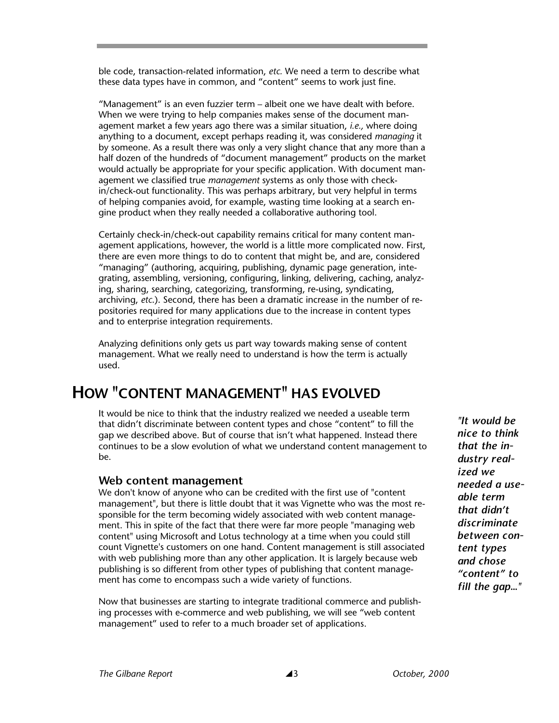ble code, transaction-related information, *etc.* We need a term to describe what these data types have in common, and "content" seems to work just fine.

"Management" is an even fuzzier term – albeit one we have dealt with before. When we were trying to help companies makes sense of the document management market a few years ago there was a similar situation, *i.e.,* where doing anything to a document, except perhaps reading it, was considered *managing* it by someone. As a result there was only a very slight chance that any more than a half dozen of the hundreds of "document management" products on the market would actually be appropriate for your specific application. With document management we classified true *management* systems as only those with checkin/check-out functionality. This was perhaps arbitrary, but very helpful in terms of helping companies avoid, for example, wasting time looking at a search engine product when they really needed a collaborative authoring tool.

Certainly check-in/check-out capability remains critical for many content management applications, however, the world is a little more complicated now. First, there are even more things to do to content that might be, and are, considered "managing" (authoring, acquiring, publishing, dynamic page generation, integrating, assembling, versioning, configuring, linking, delivering, caching, analyzing, sharing, searching, categorizing, transforming, re-using, syndicating, archiving, *etc*.). Second, there has been a dramatic increase in the number of repositories required for many applications due to the increase in content types and to enterprise integration requirements.

Analyzing definitions only gets us part way towards making sense of content management. What we really need to understand is how the term is actually used.

## **HOW "CONTENT MANAGEMENT" HAS EVOLVED**

It would be nice to think that the industry realized we needed a useable term that didn't discriminate between content types and chose "content" to fill the gap we described above. But of course that isn't what happened. Instead there continues to be a slow evolution of what we understand content management to be.

#### **Web content management**

We don't know of anyone who can be credited with the first use of "content management", but there is little doubt that it was Vignette who was the most responsible for the term becoming widely associated with web content management. This in spite of the fact that there were far more people "managing web content" using Microsoft and Lotus technology at a time when you could still count Vignette's customers on one hand. Content management is still associated with web publishing more than any other application. It is largely because web publishing is so different from other types of publishing that content management has come to encompass such a wide variety of functions.

Now that businesses are starting to integrate traditional commerce and publishing processes with e-commerce and web publishing, we will see "web content management" used to refer to a much broader set of applications.

*"It would be nice to think that the industry realized we needed a useable term that didn't discriminate between content types and chose "content" to fill the gap…"*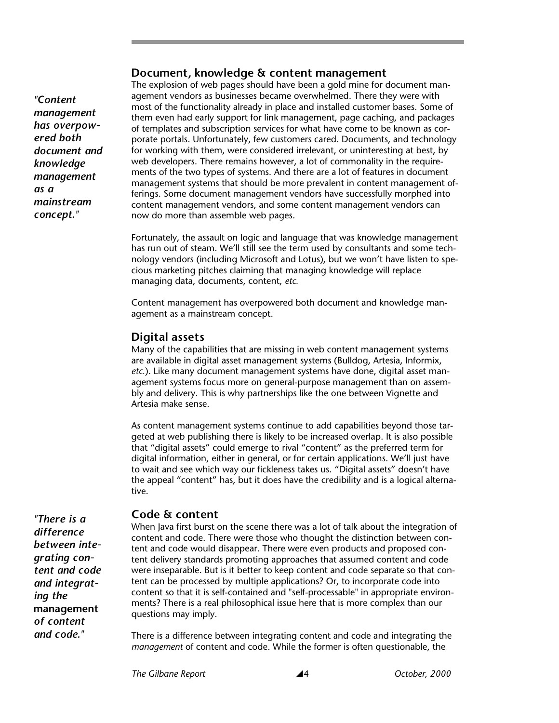#### **Document, knowledge & content management**

*"Content management has overpowered both document and knowledge management as a mainstream concept."* 

The explosion of web pages should have been a gold mine for document management vendors as businesses became overwhelmed. There they were with most of the functionality already in place and installed customer bases. Some of them even had early support for link management, page caching, and packages of templates and subscription services for what have come to be known as corporate portals. Unfortunately, few customers cared. Documents, and technology for working with them, were considered irrelevant, or uninteresting at best, by web developers. There remains however, a lot of commonality in the requirements of the two types of systems. And there are a lot of features in document management systems that should be more prevalent in content management offerings. Some document management vendors have successfully morphed into content management vendors, and some content management vendors can now do more than assemble web pages.

Fortunately, the assault on logic and language that was knowledge management has run out of steam. We'll still see the term used by consultants and some technology vendors (including Microsoft and Lotus), but we won't have listen to specious marketing pitches claiming that managing knowledge will replace managing data, documents, content, *etc.* 

Content management has overpowered both document and knowledge management as a mainstream concept.

#### **Digital assets**

Many of the capabilities that are missing in web content management systems are available in digital asset management systems (Bulldog, Artesia, Informix, *etc.*). Like many document management systems have done, digital asset management systems focus more on general-purpose management than on assembly and delivery. This is why partnerships like the one between Vignette and Artesia make sense.

As content management systems continue to add capabilities beyond those targeted at web publishing there is likely to be increased overlap. It is also possible that "digital assets" could emerge to rival "content" as the preferred term for digital information, either in general, or for certain applications. We'll just have to wait and see which way our fickleness takes us. "Digital assets" doesn't have the appeal "content" has, but it does have the credibility and is a logical alternative.

*"There is a difference between integrating content and code and integrating the*  **management** *of content and code."* 

#### **Code & content**

When Java first burst on the scene there was a lot of talk about the integration of content and code. There were those who thought the distinction between content and code would disappear. There were even products and proposed content delivery standards promoting approaches that assumed content and code were inseparable. But is it better to keep content and code separate so that content can be processed by multiple applications? Or, to incorporate code into content so that it is self-contained and "self-processable" in appropriate environments? There is a real philosophical issue here that is more complex than our questions may imply.

There is a difference between integrating content and code and integrating the *management* of content and code. While the former is often questionable, the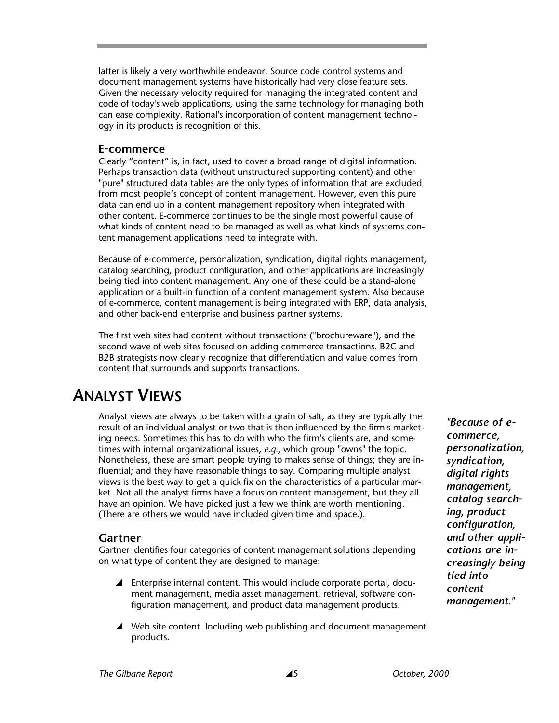latter is likely a very worthwhile endeavor. Source code control systems and document management systems have historically had very close feature sets. Given the necessary velocity required for managing the integrated content and code of today's web applications, using the same technology for managing both can ease complexity. Rational's incorporation of content management technology in its products is recognition of this.

#### **E-commerce**

Clearly "content" is, in fact, used to cover a broad range of digital information. Perhaps transaction data (without unstructured supporting content) and other "pure" structured data tables are the only types of information that are excluded from most people's concept of content management. However, even this pure data can end up in a content management repository when integrated with other content. E-commerce continues to be the single most powerful cause of what kinds of content need to be managed as well as what kinds of systems content management applications need to integrate with.

Because of e-commerce, personalization, syndication, digital rights management, catalog searching, product configuration, and other applications are increasingly being tied into content management. Any one of these could be a stand-alone application or a built-in function of a content management system. Also because of e-commerce, content management is being integrated with ERP, data analysis, and other back-end enterprise and business partner systems.

The first web sites had content without transactions ("brochureware"), and the second wave of web sites focused on adding commerce transactions. B2C and B2B strategists now clearly recognize that differentiation and value comes from content that surrounds and supports transactions.

## **ANALYST VIEWS**

Analyst views are always to be taken with a grain of salt, as they are typically the result of an individual analyst or two that is then influenced by the firm's marketing needs. Sometimes this has to do with who the firm's clients are, and sometimes with internal organizational issues, *e.g.,* which group "owns" the topic. Nonetheless, these are smart people trying to makes sense of things; they are influential; and they have reasonable things to say. Comparing multiple analyst views is the best way to get a quick fix on the characteristics of a particular market. Not all the analyst firms have a focus on content management, but they all have an opinion. We have picked just a few we think are worth mentioning. (There are others we would have included given time and space.).

#### **Gartner**

Gartner identifies four categories of content management solutions depending on what type of content they are designed to manage:

- $\blacktriangle$  Enterprise internal content. This would include corporate portal, document management, media asset management, retrieval, software configuration management, and product data management products.
- $\blacktriangle$  Web site content. Including web publishing and document management products.

*"Because of ecommerce, personalization, syndication, digital rights management, catalog searching, product configuration, and other applications are increasingly being tied into content management."*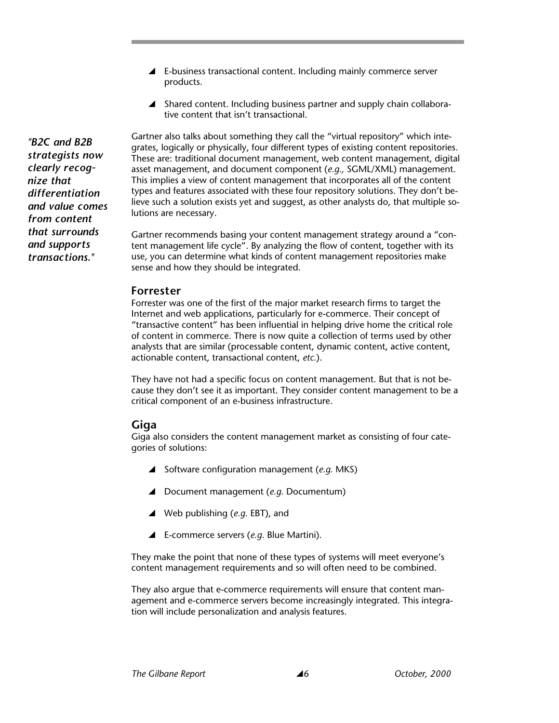- $\blacktriangle$  E-business transactional content. Including mainly commerce server products.
- $\blacktriangle$  Shared content. Including business partner and supply chain collaborative content that isn't transactional.

Gartner also talks about something they call the "virtual repository" which integrates, logically or physically, four different types of existing content repositories. These are: traditional document management, web content management, digital asset management, and document component (*e.g.,* SGML/XML) management. This implies a view of content management that incorporates all of the content types and features associated with these four repository solutions. They don't believe such a solution exists yet and suggest, as other analysts do, that multiple solutions are necessary.

Gartner recommends basing your content management strategy around a "content management life cycle". By analyzing the flow of content, together with its use, you can determine what kinds of content management repositories make sense and how they should be integrated.

#### **Forrester**

Forrester was one of the first of the major market research firms to target the Internet and web applications, particularly for e-commerce. Their concept of "transactive content" has been influential in helping drive home the critical role of content in commerce. There is now quite a collection of terms used by other analysts that are similar (processable content, dynamic content, active content, actionable content, transactional content, *etc.*).

They have not had a specific focus on content management. But that is not because they don't see it as important. They consider content management to be a critical component of an e-business infrastructure.

#### **Giga**

Giga also considers the content management market as consisting of four categories of solutions:

- ▲ Software configuration management (*e.g.* MKS)
- ▲ Document management (*e.g.* Documentum)
- ▲ Web publishing (*e.g.* EBT), and
- \ E-commerce servers (*e.g.* Blue Martini).

They make the point that none of these types of systems will meet everyone's content management requirements and so will often need to be combined.

They also argue that e-commerce requirements will ensure that content management and e-commerce servers become increasingly integrated. This integration will include personalization and analysis features.

*"B2C and B2B strategists now clearly recognize that differentiation and value comes from content that surrounds and supports transactions."*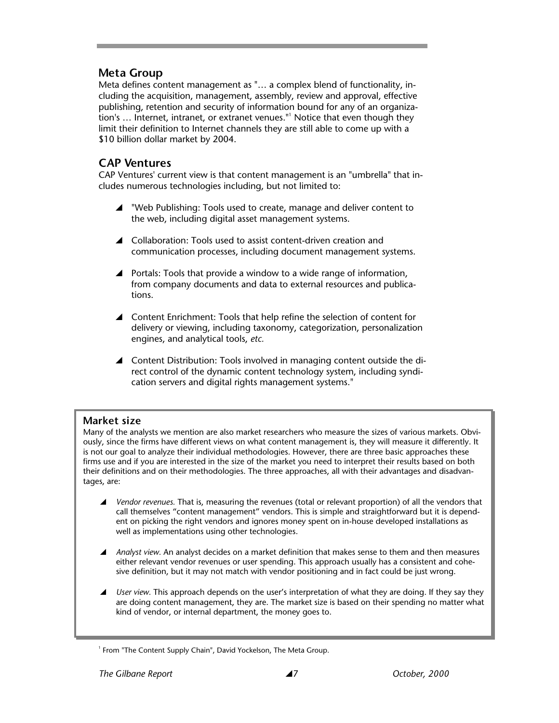#### **Meta Group**

Meta defines content management as "… a complex blend of functionality, including the acquisition, management, assembly, review and approval, effective publishing, retention and security of information bound for any of an organization's ... Internet, intranet, or extranet venues."<sup>1</sup> Notice that even though they limit their definition to Internet channels they are still able to come up with a \$10 billion dollar market by 2004.

#### **CAP Ventures**

CAP Ventures' current view is that content management is an "umbrella" that includes numerous technologies including, but not limited to:

- ▲ "Web Publishing: Tools used to create, manage and deliver content to the web, including digital asset management systems.
- ▲ Collaboration: Tools used to assist content-driven creation and communication processes, including document management systems.
- $\blacktriangle$  Portals: Tools that provide a window to a wide range of information, from company documents and data to external resources and publications.
- ▲ Content Enrichment: Tools that help refine the selection of content for delivery or viewing, including taxonomy, categorization, personalization engines, and analytical tools, *etc.*
- ▲ Content Distribution: Tools involved in managing content outside the direct control of the dynamic content technology system, including syndication servers and digital rights management systems."

#### **Market size**

Many of the analysts we mention are also market researchers who measure the sizes of various markets. Obviously, since the firms have different views on what content management is, they will measure it differently. It is not our goal to analyze their individual methodologies. However, there are three basic approaches these firms use and if you are interested in the size of the market you need to interpret their results based on both their definitions and on their methodologies. The three approaches, all with their advantages and disadvantages, are:

- \ *Vendor revenues.* That is, measuring the revenues (total or relevant proportion) of all the vendors that call themselves "content management" vendors. This is simple and straightforward but it is dependent on picking the right vendors and ignores money spent on in-house developed installations as well as implementations using other technologies.
- **▲** *Analyst view.* An analyst decides on a market definition that makes sense to them and then measures either relevant vendor revenues or user spending. This approach usually has a consistent and cohesive definition, but it may not match with vendor positioning and in fact could be just wrong.
- *User view.* This approach depends on the user's interpretation of what they are doing. If they say they are doing content management, they are. The market size is based on their spending no matter what kind of vendor, or internal department, the money goes to.

<sup>&</sup>lt;sup>1</sup> From "The Content Supply Chain", David Yockelson, The Meta Group.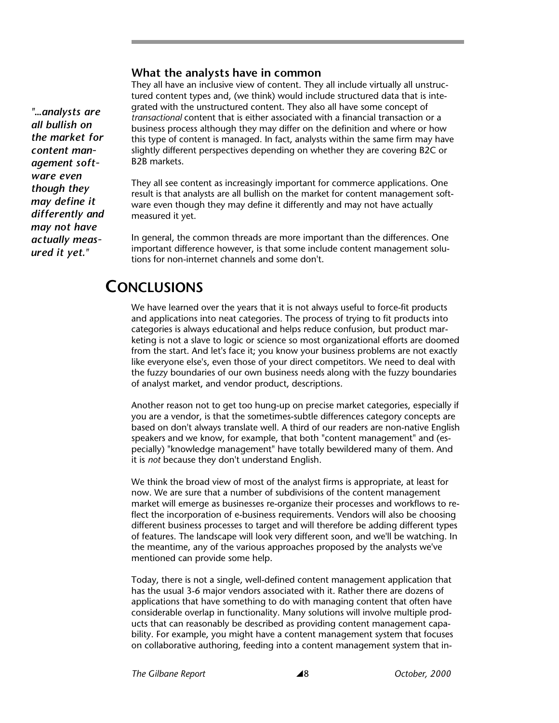#### **What the analysts have in common**

They all have an inclusive view of content. They all include virtually all unstructured content types and, (we think) would include structured data that is integrated with the unstructured content. They also all have some concept of *transactional* content that is either associated with a financial transaction or a business process although they may differ on the definition and where or how this type of content is managed. In fact, analysts within the same firm may have slightly different perspectives depending on whether they are covering B2C or B2B markets.

They all see content as increasingly important for commerce applications. One result is that analysts are all bullish on the market for content management software even though they may define it differently and may not have actually measured it yet.

In general, the common threads are more important than the differences. One important difference however, is that some include content management solutions for non-internet channels and some don't.

## **CONCLUSIONS**

We have learned over the years that it is not always useful to force-fit products and applications into neat categories. The process of trying to fit products into categories is always educational and helps reduce confusion, but product marketing is not a slave to logic or science so most organizational efforts are doomed from the start. And let's face it; you know your business problems are not exactly like everyone else's, even those of your direct competitors. We need to deal with the fuzzy boundaries of our own business needs along with the fuzzy boundaries of analyst market, and vendor product, descriptions.

Another reason not to get too hung-up on precise market categories, especially if you are a vendor, is that the sometimes-subtle differences category concepts are based on don't always translate well. A third of our readers are non-native English speakers and we know, for example, that both "content management" and (especially) "knowledge management" have totally bewildered many of them. And it is *not* because they don't understand English.

We think the broad view of most of the analyst firms is appropriate, at least for now. We are sure that a number of subdivisions of the content management market will emerge as businesses re-organize their processes and workflows to reflect the incorporation of e-business requirements. Vendors will also be choosing different business processes to target and will therefore be adding different types of features. The landscape will look very different soon, and we'll be watching. In the meantime, any of the various approaches proposed by the analysts we've mentioned can provide some help.

Today, there is not a single, well-defined content management application that has the usual 3-6 major vendors associated with it. Rather there are dozens of applications that have something to do with managing content that often have considerable overlap in functionality. Many solutions will involve multiple products that can reasonably be described as providing content management capability. For example, you might have a content management system that focuses on collaborative authoring, feeding into a content management system that in-

*"…analysts are all bullish on the market for content management software even though they may define it differently and may not have actually measured it yet."*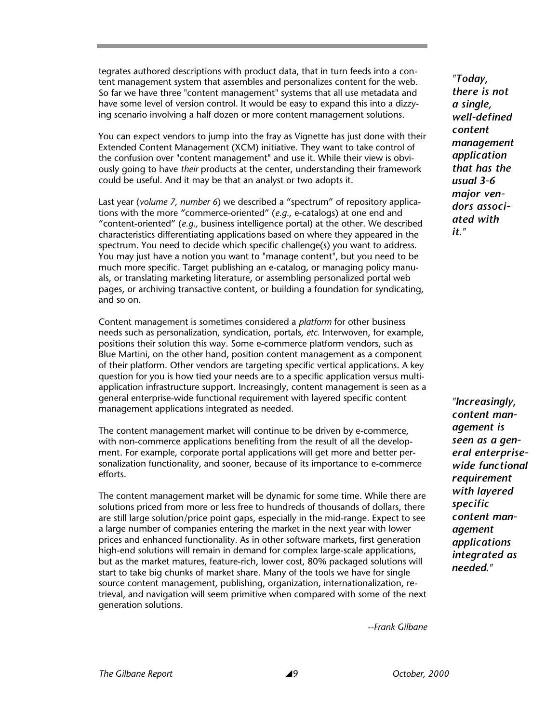tegrates authored descriptions with product data, that in turn feeds into a content management system that assembles and personalizes content for the web. So far we have three "content management" systems that all use metadata and have some level of version control. It would be easy to expand this into a dizzying scenario involving a half dozen or more content management solutions.

You can expect vendors to jump into the fray as Vignette has just done with their Extended Content Management (XCM) initiative. They want to take control of the confusion over "content management" and use it. While their view is obviously going to have *their* products at the center, understanding their framework could be useful. And it may be that an analyst or two adopts it.

Last year (*volume 7, number 6*) we described a "spectrum" of repository applications with the more "commerce-oriented" (*e.g.,* e-catalogs) at one end and "content-oriented" (*e.g.,* business intelligence portal) at the other. We described characteristics differentiating applications based on where they appeared in the spectrum. You need to decide which specific challenge(s) you want to address. You may just have a notion you want to "manage content", but you need to be much more specific. Target publishing an e-catalog, or managing policy manuals, or translating marketing literature, or assembling personalized portal web pages, or archiving transactive content, or building a foundation for syndicating, and so on.

Content management is sometimes considered a *platform* for other business needs such as personalization, syndication, portals, *etc.* Interwoven, for example, positions their solution this way. Some e-commerce platform vendors, such as Blue Martini, on the other hand, position content management as a component of their platform. Other vendors are targeting specific vertical applications. A key question for you is how tied your needs are to a specific application versus multiapplication infrastructure support. Increasingly, content management is seen as a general enterprise-wide functional requirement with layered specific content management applications integrated as needed.

The content management market will continue to be driven by e-commerce, with non-commerce applications benefiting from the result of all the development. For example, corporate portal applications will get more and better personalization functionality, and sooner, because of its importance to e-commerce efforts.

The content management market will be dynamic for some time. While there are solutions priced from more or less free to hundreds of thousands of dollars, there are still large solution/price point gaps, especially in the mid-range. Expect to see a large number of companies entering the market in the next year with lower prices and enhanced functionality. As in other software markets, first generation high-end solutions will remain in demand for complex large-scale applications, but as the market matures, feature-rich, lower cost, 80% packaged solutions will start to take big chunks of market share. Many of the tools we have for single source content management, publishing, organization, internationalization, retrieval, and navigation will seem primitive when compared with some of the next generation solutions.

*"Today, there is not a single, well-defined content management application that has the usual 3-6 major vendors associated with it."* 

*"Increasingly, content management is seen as a general enterprisewide functional requirement with layered specific content management applications integrated as needed."* 

*--Frank Gilbane*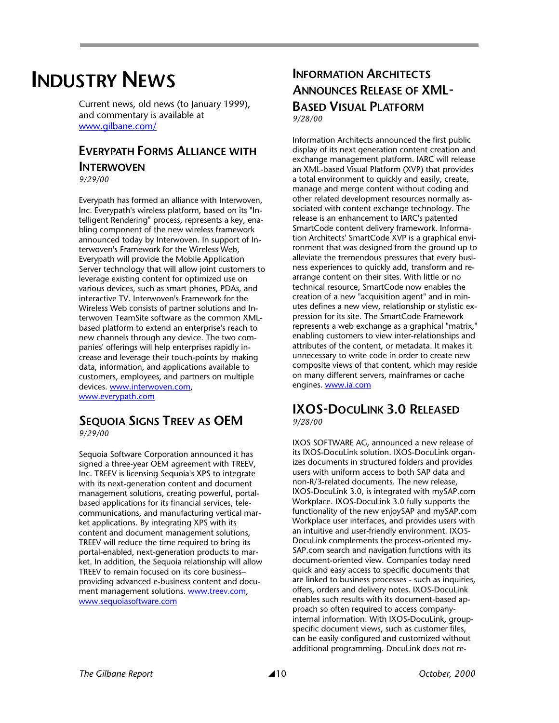# **INDUSTRY NEWS**

Current news, old news (to January 1999), and commentary is available at www.gilbane.com/

#### **EVERYPATH FORMS ALLIANCE WITH INTFRWOVEN**

*9/29/00* 

Everypath has formed an alliance with Interwoven, Inc. Everypath's wireless platform, based on its "Intelligent Rendering" process, represents a key, enabling component of the new wireless framework announced today by Interwoven. In support of Interwoven's Framework for the Wireless Web, Everypath will provide the Mobile Application Server technology that will allow joint customers to leverage existing content for optimized use on various devices, such as smart phones, PDAs, and interactive TV. Interwoven's Framework for the Wireless Web consists of partner solutions and Interwoven TeamSite software as the common XMLbased platform to extend an enterprise's reach to new channels through any device. The two companies' offerings will help enterprises rapidly increase and leverage their touch-points by making data, information, and applications available to customers, employees, and partners on multiple devices. www.interwoven.com, www.everypath.com

## **SEQUOIA SIGNS TREEV AS OEM**

*9/29/00* 

Sequoia Software Corporation announced it has signed a three-year OEM agreement with TREEV, Inc. TREEV is licensing Sequoia's XPS to integrate with its next-generation content and document management solutions, creating powerful, portalbased applications for its financial services, telecommunications, and manufacturing vertical market applications. By integrating XPS with its content and document management solutions, TREEV will reduce the time required to bring its portal-enabled, next-generation products to market. In addition, the Sequoia relationship will allow TREEV to remain focused on its core business– providing advanced e-business content and document management solutions. www.treev.com, www.sequoiasoftware.com

## **INFORMATION ARCHITECTS ANNOUNCES RELEASE OF XML-BASED VISUAL PLATFORM** *9/28/00*

Information Architects announced the first public display of its next generation content creation and exchange management platform. IARC will release an XML-based Visual Platform (XVP) that provides a total environment to quickly and easily, create, manage and merge content without coding and other related development resources normally associated with content exchange technology. The release is an enhancement to IARC's patented SmartCode content delivery framework. Information Architects' SmartCode XVP is a graphical environment that was designed from the ground up to alleviate the tremendous pressures that every business experiences to quickly add, transform and rearrange content on their sites. With little or no technical resource, SmartCode now enables the creation of a new "acquisition agent" and in minutes defines a new view, relationship or stylistic expression for its site. The SmartCode Framework represents a web exchange as a graphical "matrix," enabling customers to view inter-relationships and attributes of the content, or metadata. It makes it unnecessary to write code in order to create new composite views of that content, which may reside on many different servers, mainframes or cache engines. www.ia.com

#### **IXOS-DOCULINK 3.0 RELEASED** *9/28/00*

IXOS SOFTWARE AG, announced a new release of its IXOS-DocuLink solution. IXOS-DocuLink organizes documents in structured folders and provides users with uniform access to both SAP data and non-R/3-related documents. The new release, IXOS-DocuLink 3.0, is integrated with mySAP.com Workplace. IXOS-DocuLink 3.0 fully supports the functionality of the new enjoySAP and mySAP.com Workplace user interfaces, and provides users with an intuitive and user-friendly environment. IXOS-DocuLink complements the process-oriented my-SAP.com search and navigation functions with its document-oriented view. Companies today need quick and easy access to specific documents that are linked to business processes - such as inquiries, offers, orders and delivery notes. IXOS-DocuLink enables such results with its document-based approach so often required to access companyinternal information. With IXOS-DocuLink, groupspecific document views, such as customer files, can be easily configured and customized without additional programming. DocuLink does not re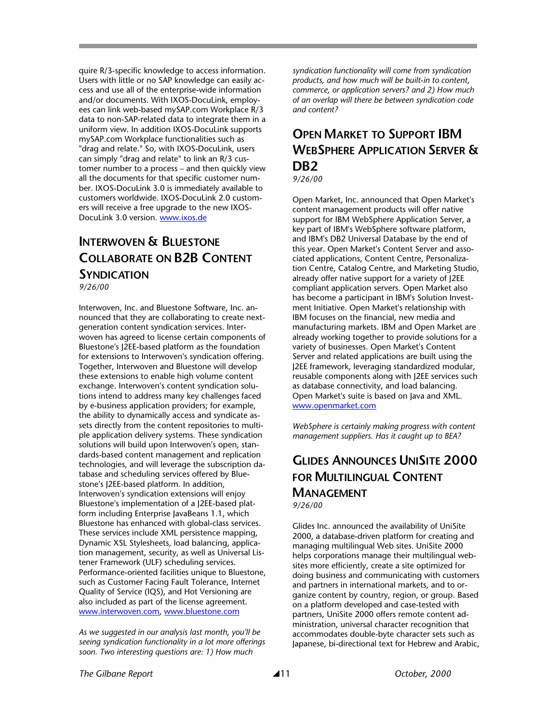quire R/3-specific knowledge to access information. Users with little or no SAP knowledge can easily access and use all of the enterprise-wide information and/or documents. With IXOS-DocuLink, employees can link web-based mySAP.com Workplace R/3 data to non-SAP-related data to integrate them in a uniform view. In addition IXOS-DocuLink supports mySAP.com Workplace functionalities such as "drag and relate." So, with IXOS-DocuLink, users can simply "drag and relate" to link an R/3 customer number to a process – and then quickly view all the documents for that specific customer number. IXOS-DocuLink 3.0 is immediately available to customers worldwide. IXOS-DocuLink 2.0 customers will receive a free upgrade to the new IXOS-DocuLink 3.0 version. www.ixos.de

## **INTERWOVEN & BLUESTONE COLLABORATE ON B2B CONTENT SYNDICATION** *9/26/00*

Interwoven, Inc. and Bluestone Software, Inc. announced that they are collaborating to create nextgeneration content syndication services. Interwoven has agreed to license certain components of Bluestone's J2EE-based platform as the foundation for extensions to Interwoven's syndication offering. Together, Interwoven and Bluestone will develop these extensions to enable high volume content exchange. Interwoven's content syndication solutions intend to address many key challenges faced by e-business application providers; for example, the ability to dynamically access and syndicate assets directly from the content repositories to multiple application delivery systems. These syndication solutions will build upon Interwoven's open, standards-based content management and replication technologies, and will leverage the subscription database and scheduling services offered by Bluestone's J2EE-based platform. In addition, Interwoven's syndication extensions will enjoy Bluestone's implementation of a J2EE-based platform including Enterprise JavaBeans 1.1, which Bluestone has enhanced with global-class services. These services include XML persistence mapping, Dynamic XSL Stylesheets, load balancing, application management, security, as well as Universal Listener Framework (ULF) scheduling services. Performance-oriented facilities unique to Bluestone, such as Customer Facing Fault Tolerance, Internet Quality of Service (IQS), and Hot Versioning are also included as part of the license agreement. www.interwoven.com, www.bluestone.com

*As we suggested in our analysis last month, you'll be seeing syndication functionality in a lot more offerings soon. Two interesting questions are: 1) How much* 

*syndication functionality will come from syndication products, and how much will be built-in to content, commerce, or application servers? and 2) How much of an overlap will there be between syndication code and content?* 

## **OPEN MARKET TO SUPPORT IBM WEBSPHERE APPLICATION SERVER & DB2**

*9/26/00* 

Open Market, Inc. announced that Open Market's content management products will offer native support for IBM WebSphere Application Server, a key part of IBM's WebSphere software platform, and IBM's DB2 Universal Database by the end of this year. Open Market's Content Server and associated applications, Content Centre, Personalization Centre, Catalog Centre, and Marketing Studio, already offer native support for a variety of J2EE compliant application servers. Open Market also has become a participant in IBM's Solution Investment Initiative. Open Market's relationship with IBM focuses on the financial, new media and manufacturing markets. IBM and Open Market are already working together to provide solutions for a variety of businesses. Open Market's Content Server and related applications are built using the J2EE framework, leveraging standardized modular, reusable components along with J2EE services such as database connectivity, and load balancing. Open Market's suite is based on Java and XML. www.openmarket.com

*WebSphere is certainly making progress with content management suppliers. Has it caught up to BEA?* 

## **GLIDES ANNOUNCES UNISITE 2000 FOR MULTILINGUAL CONTENT MANAGEMENT** *9/26/00*

Glides Inc. announced the availability of UniSite 2000, a database-driven platform for creating and managing multilingual Web sites. UniSite 2000 helps corporations manage their multilingual websites more efficiently, create a site optimized for doing business and communicating with customers and partners in international markets, and to organize content by country, region, or group. Based on a platform developed and case-tested with partners, UniSite 2000 offers remote content administration, universal character recognition that accommodates double-byte character sets such as Japanese, bi-directional text for Hebrew and Arabic,

*The Gilbane Report* \11 *October, 2000*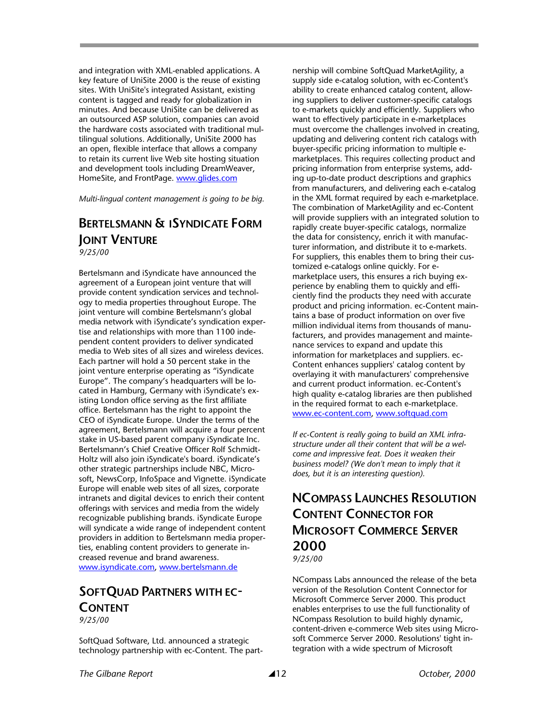and integration with XML-enabled applications. A key feature of UniSite 2000 is the reuse of existing sites. With UniSite's integrated Assistant, existing content is tagged and ready for globalization in minutes. And because UniSite can be delivered as an outsourced ASP solution, companies can avoid the hardware costs associated with traditional multilingual solutions. Additionally, UniSite 2000 has an open, flexible interface that allows a company to retain its current live Web site hosting situation and development tools including DreamWeaver, HomeSite, and FrontPage. www.glides.com

*Multi-lingual content management is going to be big.* 

#### **BERTELSMANN & ISYNDICATE FORM JOINT VENTURE** *9/25/00*

Bertelsmann and iSyndicate have announced the agreement of a European joint venture that will provide content syndication services and technology to media properties throughout Europe. The joint venture will combine Bertelsmann's global media network with iSyndicate's syndication expertise and relationships with more than 1100 independent content providers to deliver syndicated media to Web sites of all sizes and wireless devices. Each partner will hold a 50 percent stake in the joint venture enterprise operating as "iSyndicate Europe". The company's headquarters will be located in Hamburg, Germany with iSyndicate's existing London office serving as the first affiliate office. Bertelsmann has the right to appoint the CEO of iSyndicate Europe. Under the terms of the agreement, Bertelsmann will acquire a four percent stake in US-based parent company iSyndicate Inc. Bertelsmann's Chief Creative Officer Rolf Schmidt-Holtz will also join iSyndicate's board. iSyndicate's other strategic partnerships include NBC, Microsoft, NewsCorp, InfoSpace and Vignette. iSyndicate Europe will enable web sites of all sizes, corporate intranets and digital devices to enrich their content offerings with services and media from the widely recognizable publishing brands. iSyndicate Europe will syndicate a wide range of independent content providers in addition to Bertelsmann media properties, enabling content providers to generate increased revenue and brand awareness. www.isyndicate.com, www.bertelsmann.de

#### **SOFTQUAD PARTNERS WITH EC-CONTENT** *9/25/00*

SoftQuad Software, Ltd. announced a strategic technology partnership with ec-Content. The partnership will combine SoftQuad MarketAgility, a supply side e-catalog solution, with ec-Content's ability to create enhanced catalog content, allowing suppliers to deliver customer-specific catalogs to e-markets quickly and efficiently. Suppliers who want to effectively participate in e-marketplaces must overcome the challenges involved in creating, updating and delivering content rich catalogs with buyer-specific pricing information to multiple emarketplaces. This requires collecting product and pricing information from enterprise systems, adding up-to-date product descriptions and graphics from manufacturers, and delivering each e-catalog in the XML format required by each e-marketplace. The combination of MarketAgility and ec-Content will provide suppliers with an integrated solution to rapidly create buyer-specific catalogs, normalize the data for consistency, enrich it with manufacturer information, and distribute it to e-markets. For suppliers, this enables them to bring their customized e-catalogs online quickly. For emarketplace users, this ensures a rich buying experience by enabling them to quickly and efficiently find the products they need with accurate product and pricing information. ec-Content maintains a base of product information on over five million individual items from thousands of manufacturers, and provides management and maintenance services to expand and update this information for marketplaces and suppliers. ec-Content enhances suppliers' catalog content by overlaying it with manufacturers' comprehensive and current product information. ec-Content's high quality e-catalog libraries are then published in the required format to each e-marketplace. www.ec-content.com, www.softquad.com

*If ec-Content is really going to build an XML infrastructure under all their content that will be a welcome and impressive feat. Does it weaken their business model? (We don't mean to imply that it does, but it is an interesting question).* 

## **NCOMPASS LAUNCHES RESOLUTION CONTENT CONNECTOR FOR MICROSOFT COMMERCE SERVER 2000**

*9/25/00* 

NCompass Labs announced the release of the beta version of the Resolution Content Connector for Microsoft Commerce Server 2000. This product enables enterprises to use the full functionality of NCompass Resolution to build highly dynamic, content-driven e-commerce Web sites using Microsoft Commerce Server 2000. Resolutions' tight integration with a wide spectrum of Microsoft

*The Gilbane Report* \12 *October, 2000*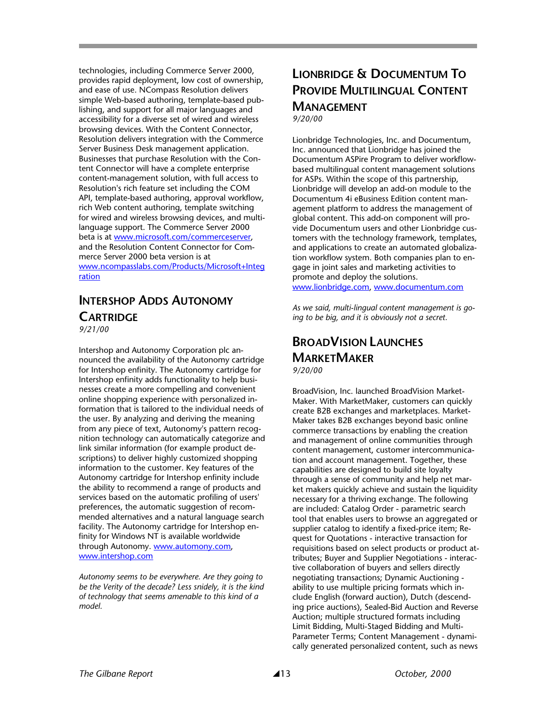technologies, including Commerce Server 2000, provides rapid deployment, low cost of ownership, and ease of use. NCompass Resolution delivers simple Web-based authoring, template-based publishing, and support for all major languages and accessibility for a diverse set of wired and wireless browsing devices. With the Content Connector, Resolution delivers integration with the Commerce Server Business Desk management application. Businesses that purchase Resolution with the Content Connector will have a complete enterprise content-management solution, with full access to Resolution's rich feature set including the COM API, template-based authoring, approval workflow, rich Web content authoring, template switching for wired and wireless browsing devices, and multilanguage support. The Commerce Server 2000 beta is at www.microsoft.com/commerceserver, and the Resolution Content Connector for Commerce Server 2000 beta version is at www.ncompasslabs.com/Products/Microsoft+Integ ration

## **INTERSHOP ADDS AUTONOMY CARTRIDGE**

*9/21/00* 

Intershop and Autonomy Corporation plc announced the availability of the Autonomy cartridge for Intershop enfinity. The Autonomy cartridge for Intershop enfinity adds functionality to help businesses create a more compelling and convenient online shopping experience with personalized information that is tailored to the individual needs of the user. By analyzing and deriving the meaning from any piece of text, Autonomy's pattern recognition technology can automatically categorize and link similar information (for example product descriptions) to deliver highly customized shopping information to the customer. Key features of the Autonomy cartridge for Intershop enfinity include the ability to recommend a range of products and services based on the automatic profiling of users' preferences, the automatic suggestion of recommended alternatives and a natural language search facility. The Autonomy cartridge for Intershop enfinity for Windows NT is available worldwide through Autonomy. www.automony.com, www.intershop.com

*Autonomy seems to be everywhere. Are they going to be the Verity of the decade? Less snidely, it is the kind of technology that seems amenable to this kind of a model.* 

## **LIONBRIDGE & DOCUMENTUM TO PROVIDE MULTILINGUAL CONTENT MANAGEMENT** *9/20/00*

Lionbridge Technologies, Inc. and Documentum, Inc. announced that Lionbridge has joined the Documentum ASPire Program to deliver workflowbased multilingual content management solutions for ASPs. Within the scope of this partnership, Lionbridge will develop an add-on module to the Documentum 4i eBusiness Edition content management platform to address the management of global content. This add-on component will provide Documentum users and other Lionbridge customers with the technology framework, templates, and applications to create an automated globalization workflow system. Both companies plan to engage in joint sales and marketing activities to promote and deploy the solutions. www.lionbridge.com, www.documentum.com

*As we said, multi-lingual content management is going to be big, and it is obviously not a secret.* 

## **BROADVISION LAUNCHES MARKETMAKER** *9/20/00*

BroadVision, Inc. launched BroadVision Market-Maker. With MarketMaker, customers can quickly create B2B exchanges and marketplaces. Market-Maker takes B2B exchanges beyond basic online commerce transactions by enabling the creation and management of online communities through content management, customer intercommunication and account management. Together, these capabilities are designed to build site loyalty through a sense of community and help net market makers quickly achieve and sustain the liquidity necessary for a thriving exchange. The following are included: Catalog Order - parametric search tool that enables users to browse an aggregated or supplier catalog to identify a fixed-price item; Request for Quotations - interactive transaction for requisitions based on select products or product attributes; Buyer and Supplier Negotiations - interactive collaboration of buyers and sellers directly negotiating transactions; Dynamic Auctioning ability to use multiple pricing formats which include English (forward auction), Dutch (descending price auctions), Sealed-Bid Auction and Reverse Auction; multiple structured formats including Limit Bidding, Multi-Staged Bidding and Multi-Parameter Terms; Content Management - dynamically generated personalized content, such as news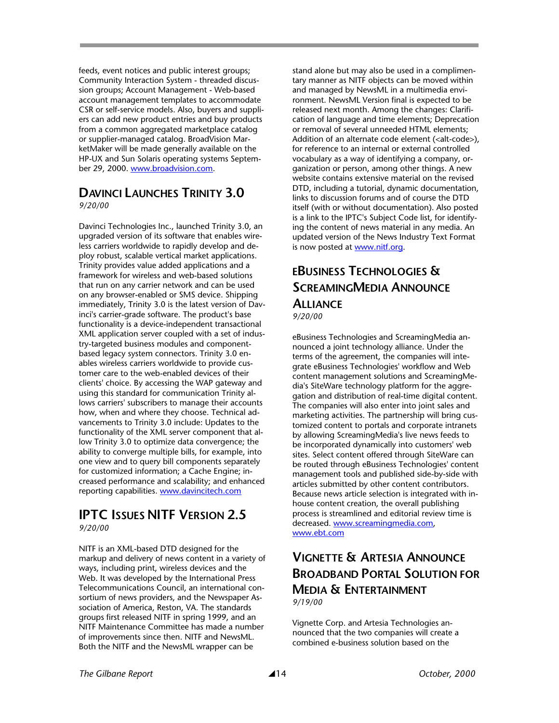feeds, event notices and public interest groups; Community Interaction System - threaded discussion groups; Account Management - Web-based account management templates to accommodate CSR or self-service models. Also, buyers and suppliers can add new product entries and buy products from a common aggregated marketplace catalog or supplier-managed catalog. BroadVision MarketMaker will be made generally available on the HP-UX and Sun Solaris operating systems September 29, 2000. www.broadvision.com.

## **DAVINCI LAUNCHES TRINITY 3.0**

*9/20/00* 

Davinci Technologies Inc., launched Trinity 3.0, an upgraded version of its software that enables wireless carriers worldwide to rapidly develop and deploy robust, scalable vertical market applications. Trinity provides value added applications and a framework for wireless and web-based solutions that run on any carrier network and can be used on any browser-enabled or SMS device. Shipping immediately, Trinity 3.0 is the latest version of Davinci's carrier-grade software. The product's base functionality is a device-independent transactional XML application server coupled with a set of industry-targeted business modules and componentbased legacy system connectors. Trinity 3.0 enables wireless carriers worldwide to provide customer care to the web-enabled devices of their clients' choice. By accessing the WAP gateway and using this standard for communication Trinity allows carriers' subscribers to manage their accounts how, when and where they choose. Technical advancements to Trinity 3.0 include: Updates to the functionality of the XML server component that allow Trinity 3.0 to optimize data convergence; the ability to converge multiple bills, for example, into one view and to query bill components separately for customized information; a Cache Engine; increased performance and scalability; and enhanced reporting capabilities. www.davincitech.com

#### **IPTC ISSUES NITF VERSION 2.5**  *9/20/00*

NITF is an XML-based DTD designed for the markup and delivery of news content in a variety of ways, including print, wireless devices and the Web. It was developed by the International Press Telecommunications Council, an international consortium of news providers, and the Newspaper Association of America, Reston, VA. The standards groups first released NITF in spring 1999, and an NITF Maintenance Committee has made a number of improvements since then. NITF and NewsML. Both the NITF and the NewsML wrapper can be

stand alone but may also be used in a complimentary manner as NITF objects can be moved within and managed by NewsML in a multimedia environment. NewsML Version final is expected to be released next month. Among the changes: Clarification of language and time elements; Deprecation or removal of several unneeded HTML elements; Addition of an alternate code element (<alt-code>), for reference to an internal or external controlled vocabulary as a way of identifying a company, organization or person, among other things. A new website contains extensive material on the revised DTD, including a tutorial, dynamic documentation, links to discussion forums and of course the DTD itself (with or without documentation). Also posted is a link to the IPTC's Subject Code list, for identifying the content of news material in any media. An updated version of the News Industry Text Format is now posted at www.nitf.org.

## **EBUSINESS TECHNOLOGIES & SCREAMINGMEDIA ANNOUNCE ALLIANCE**

*9/20/00* 

eBusiness Technologies and ScreamingMedia announced a joint technology alliance. Under the terms of the agreement, the companies will integrate eBusiness Technologies' workflow and Web content management solutions and ScreamingMedia's SiteWare technology platform for the aggregation and distribution of real-time digital content. The companies will also enter into joint sales and marketing activities. The partnership will bring customized content to portals and corporate intranets by allowing ScreamingMedia's live news feeds to be incorporated dynamically into customers' web sites. Select content offered through SiteWare can be routed through eBusiness Technologies' content management tools and published side-by-side with articles submitted by other content contributors. Because news article selection is integrated with inhouse content creation, the overall publishing process is streamlined and editorial review time is decreased. www.screamingmedia.com, www.ebt.com

## **VIGNETTE & ARTESIA ANNOUNCE BROADBAND PORTAL SOLUTION FOR MEDIA & ENTERTAINMENT** *9/19/00*

Vignette Corp. and Artesia Technologies announced that the two companies will create a combined e-business solution based on the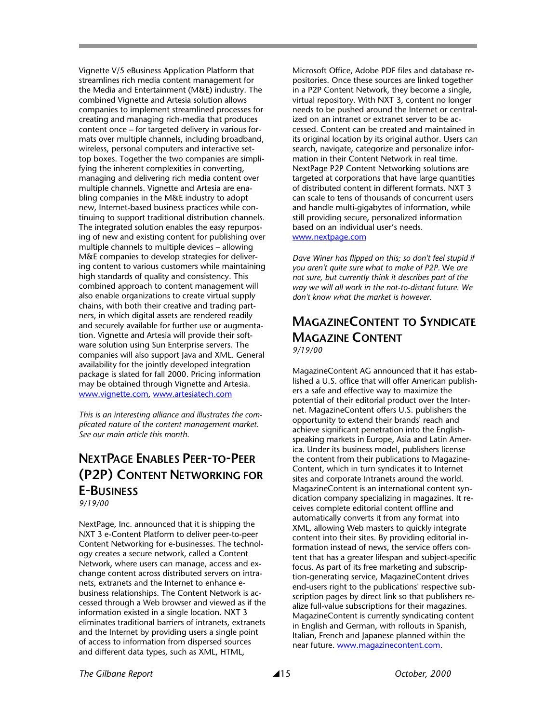Vignette V/5 eBusiness Application Platform that streamlines rich media content management for the Media and Entertainment (M&E) industry. The combined Vignette and Artesia solution allows companies to implement streamlined processes for creating and managing rich-media that produces content once – for targeted delivery in various formats over multiple channels, including broadband, wireless, personal computers and interactive settop boxes. Together the two companies are simplifying the inherent complexities in converting, managing and delivering rich media content over multiple channels. Vignette and Artesia are enabling companies in the M&E industry to adopt new, Internet-based business practices while continuing to support traditional distribution channels. The integrated solution enables the easy repurposing of new and existing content for publishing over multiple channels to multiple devices – allowing M&E companies to develop strategies for delivering content to various customers while maintaining high standards of quality and consistency. This combined approach to content management will also enable organizations to create virtual supply chains, with both their creative and trading partners, in which digital assets are rendered readily and securely available for further use or augmentation. Vignette and Artesia will provide their software solution using Sun Enterprise servers. The companies will also support Java and XML. General availability for the jointly developed integration package is slated for fall 2000. Pricing information may be obtained through Vignette and Artesia. www.vignette.com, www.artesiatech.com

*This is an interesting alliance and illustrates the complicated nature of the content management market. See our main article this month.* 

## **NEXTPAGE ENABLES PEER-TO-PEER (P2P) CONTENT NETWORKING FOR E-BUSINESS** *9/19/00*

NextPage, Inc. announced that it is shipping the NXT 3 e-Content Platform to deliver peer-to-peer Content Networking for e-businesses. The technology creates a secure network, called a Content Network, where users can manage, access and exchange content across distributed servers on intranets, extranets and the Internet to enhance ebusiness relationships. The Content Network is accessed through a Web browser and viewed as if the information existed in a single location. NXT 3 eliminates traditional barriers of intranets, extranets and the Internet by providing users a single point of access to information from dispersed sources and different data types, such as XML, HTML,

Microsoft Office, Adobe PDF files and database repositories. Once these sources are linked together in a P2P Content Network, they become a single, virtual repository. With NXT 3, content no longer needs to be pushed around the Internet or centralized on an intranet or extranet server to be accessed. Content can be created and maintained in its original location by its original author. Users can search, navigate, categorize and personalize information in their Content Network in real time. NextPage P2P Content Networking solutions are targeted at corporations that have large quantities of distributed content in different formats. NXT 3 can scale to tens of thousands of concurrent users and handle multi-gigabytes of information, while still providing secure, personalized information based on an individual user's needs. www.nextpage.com

*Dave Winer has flipped on this; so don't feel stupid if you aren't quite sure what to make of P2P.* We *are not sure, but currently think it describes part of the way we will all work in the not-to-distant future. We don't know what the market is however.* 

#### **MAGAZINECONTENT TO SYNDICATE MAGAZINE CONTENT** *9/19/00*

MagazineContent AG announced that it has established a U.S. office that will offer American publishers a safe and effective way to maximize the potential of their editorial product over the Internet. MagazineContent offers U.S. publishers the opportunity to extend their brands' reach and achieve significant penetration into the Englishspeaking markets in Europe, Asia and Latin America. Under its business model, publishers license the content from their publications to Magazine-Content, which in turn syndicates it to Internet sites and corporate Intranets around the world. MagazineContent is an international content syndication company specializing in magazines. It receives complete editorial content offline and automatically converts it from any format into XML, allowing Web masters to quickly integrate content into their sites. By providing editorial information instead of news, the service offers content that has a greater lifespan and subject-specific focus. As part of its free marketing and subscription-generating service, MagazineContent drives end-users right to the publications' respective subscription pages by direct link so that publishers realize full-value subscriptions for their magazines. MagazineContent is currently syndicating content in English and German, with rollouts in Spanish, Italian, French and Japanese planned within the near future. www.magazinecontent.com.

*The Gilbane Report* \15 *October, 2000*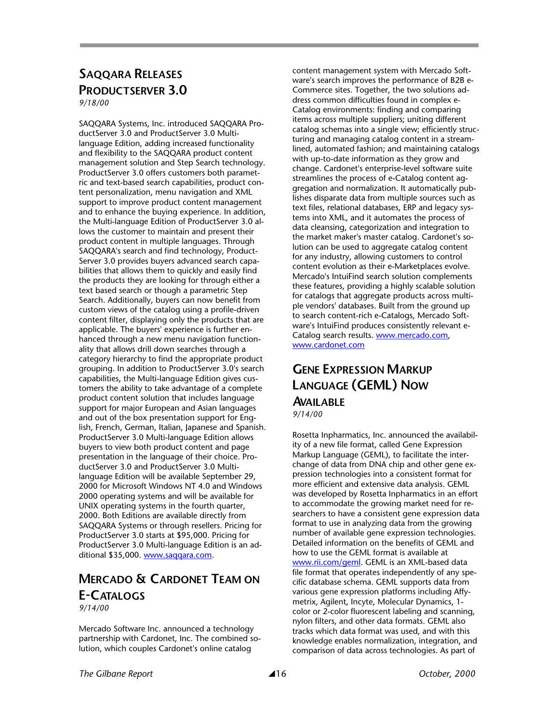## **SAQQARA RELEASES PRODUCTSERVER 3.0**

*9/18/00* 

SAQQARA Systems, Inc. introduced SAQQARA ProductServer 3.0 and ProductServer 3.0 Multilanguage Edition, adding increased functionality and flexibility to the SAQQARA product content management solution and Step Search technology. ProductServer 3.0 offers customers both parametric and text-based search capabilities, product content personalization, menu navigation and XML support to improve product content management and to enhance the buying experience. In addition, the Multi-language Edition of ProductServer 3.0 allows the customer to maintain and present their product content in multiple languages. Through SAQQARA's search and find technology, Product-Server 3.0 provides buyers advanced search capabilities that allows them to quickly and easily find the products they are looking for through either a text based search or though a parametric Step Search. Additionally, buyers can now benefit from custom views of the catalog using a profile-driven content filter, displaying only the products that are applicable. The buyers' experience is further enhanced through a new menu navigation functionality that allows drill down searches through a category hierarchy to find the appropriate product grouping. In addition to ProductServer 3.0's search capabilities, the Multi-language Edition gives customers the ability to take advantage of a complete product content solution that includes language support for major European and Asian languages and out of the box presentation support for English, French, German, Italian, Japanese and Spanish. ProductServer 3.0 Multi-language Edition allows buyers to view both product content and page presentation in the language of their choice. ProductServer 3.0 and ProductServer 3.0 Multilanguage Edition will be available September 29, 2000 for Microsoft Windows NT 4.0 and Windows 2000 operating systems and will be available for UNIX operating systems in the fourth quarter, 2000. Both Editions are available directly from SAQQARA Systems or through resellers. Pricing for ProductServer 3.0 starts at \$95,000. Pricing for ProductServer 3.0 Multi-language Edition is an additional \$35,000. www.saqqara.com.

#### **MERCADO & CARDONET TEAM ON E-CATALOGS** *9/14/00*

Mercado Software Inc. announced a technology partnership with Cardonet, Inc. The combined solution, which couples Cardonet's online catalog

content management system with Mercado Software's search improves the performance of B2B e-Commerce sites. Together, the two solutions address common difficulties found in complex e-Catalog environments: finding and comparing items across multiple suppliers; uniting different catalog schemas into a single view; efficiently structuring and managing catalog content in a streamlined, automated fashion; and maintaining catalogs with up-to-date information as they grow and change. Cardonet's enterprise-level software suite streamlines the process of e-Catalog content aggregation and normalization. It automatically publishes disparate data from multiple sources such as text files, relational databases, ERP and legacy systems into XML, and it automates the process of data cleansing, categorization and integration to the market maker's master catalog. Cardonet's solution can be used to aggregate catalog content for any industry, allowing customers to control content evolution as their e-Marketplaces evolve. Mercado's IntuiFind search solution complements these features, providing a highly scalable solution for catalogs that aggregate products across multiple vendors' databases. Built from the ground up to search content-rich e-Catalogs, Mercado Software's IntuiFind produces consistently relevant e-Catalog search results. www.mercado.com, www.cardonet.com

## **GENE EXPRESSION MARKUP LANGUAGE (GEML) NOW AVAILABLE**

*9/14/00* 

Rosetta Inpharmatics, Inc. announced the availability of a new file format, called Gene Expression Markup Language (GEML), to facilitate the interchange of data from DNA chip and other gene expression technologies into a consistent format for more efficient and extensive data analysis. GEML was developed by Rosetta Inpharmatics in an effort to accommodate the growing market need for researchers to have a consistent gene expression data format to use in analyzing data from the growing number of available gene expression technologies. Detailed information on the benefits of GEML and how to use the GEML format is available at www.rii.com/geml. GEML is an XML-based data file format that operates independently of any specific database schema. GEML supports data from various gene expression platforms including Affymetrix, Agilent, Incyte, Molecular Dynamics, 1 color or 2-color fluorescent labeling and scanning, nylon filters, and other data formats. GEML also tracks which data format was used, and with this knowledge enables normalization, integration, and comparison of data across technologies. As part of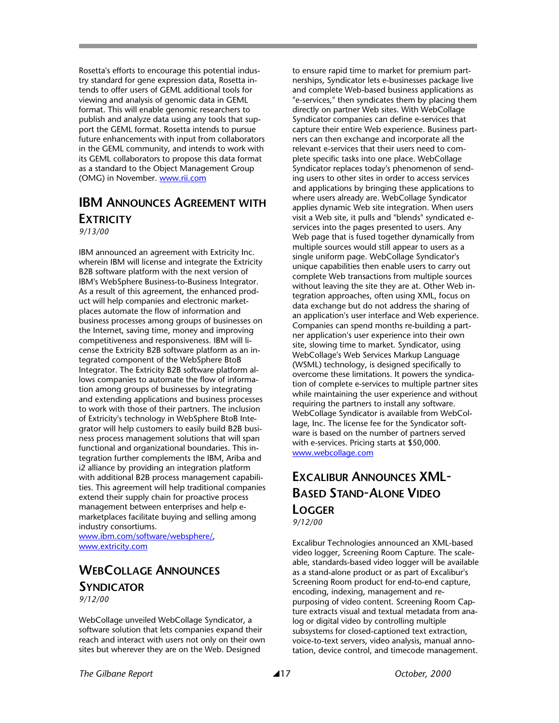Rosetta's efforts to encourage this potential industry standard for gene expression data, Rosetta intends to offer users of GEML additional tools for viewing and analysis of genomic data in GEML format. This will enable genomic researchers to publish and analyze data using any tools that support the GEML format. Rosetta intends to pursue future enhancements with input from collaborators in the GEML community, and intends to work with its GEML collaborators to propose this data format as a standard to the Object Management Group (OMG) in November. www.rii.com

## **IBM ANNOUNCES AGREEMENT WITH EXTRICITY**

*9/13/00* 

IBM announced an agreement with Extricity Inc. wherein IBM will license and integrate the Extricity B2B software platform with the next version of IBM's WebSphere Business-to-Business Integrator. As a result of this agreement, the enhanced product will help companies and electronic marketplaces automate the flow of information and business processes among groups of businesses on the Internet, saving time, money and improving competitiveness and responsiveness. IBM will license the Extricity B2B software platform as an integrated component of the WebSphere BtoB Integrator. The Extricity B2B software platform allows companies to automate the flow of information among groups of businesses by integrating and extending applications and business processes to work with those of their partners. The inclusion of Extricity's technology in WebSphere BtoB Integrator will help customers to easily build B2B business process management solutions that will span functional and organizational boundaries. This integration further complements the IBM, Ariba and i2 alliance by providing an integration platform with additional B2B process management capabilities. This agreement will help traditional companies extend their supply chain for proactive process management between enterprises and help emarketplaces facilitate buying and selling among industry consortiums.

www.ibm.com/software/websphere/, www.extricity.com

## **WEBCOLLAGE ANNOUNCES SYNDICATOR**

*9/12/00* 

WebCollage unveiled WebCollage Syndicator, a software solution that lets companies expand their reach and interact with users not only on their own sites but wherever they are on the Web. Designed

to ensure rapid time to market for premium partnerships, Syndicator lets e-businesses package live and complete Web-based business applications as "e-services," then syndicates them by placing them directly on partner Web sites. With WebCollage Syndicator companies can define e-services that capture their entire Web experience. Business partners can then exchange and incorporate all the relevant e-services that their users need to complete specific tasks into one place. WebCollage Syndicator replaces today's phenomenon of sending users to other sites in order to access services and applications by bringing these applications to where users already are. WebCollage Syndicator applies dynamic Web site integration. When users visit a Web site, it pulls and "blends" syndicated eservices into the pages presented to users. Any Web page that is fused together dynamically from multiple sources would still appear to users as a single uniform page. WebCollage Syndicator's unique capabilities then enable users to carry out complete Web transactions from multiple sources without leaving the site they are at. Other Web integration approaches, often using XML, focus on data exchange but do not address the sharing of an application's user interface and Web experience. Companies can spend months re-building a partner application's user experience into their own site, slowing time to market. Syndicator, using WebCollage's Web Services Markup Language (WSML) technology, is designed specifically to overcome these limitations. It powers the syndication of complete e-services to multiple partner sites while maintaining the user experience and without requiring the partners to install any software. WebCollage Syndicator is available from WebCollage, Inc. The license fee for the Syndicator software is based on the number of partners served with e-services. Pricing starts at \$50,000. www.webcollage.com

## **EXCALIBUR ANNOUNCES XML-BASED STAND-ALONE VIDEO LOGGER** *9/12/00*

Excalibur Technologies announced an XML-based video logger, Screening Room Capture. The scaleable, standards-based video logger will be available as a stand-alone product or as part of Excalibur's Screening Room product for end-to-end capture, encoding, indexing, management and repurposing of video content. Screening Room Capture extracts visual and textual metadata from analog or digital video by controlling multiple subsystems for closed-captioned text extraction, voice-to-text servers, video analysis, manual annotation, device control, and timecode management.

*The Gilbane Report* \17 *October, 2000*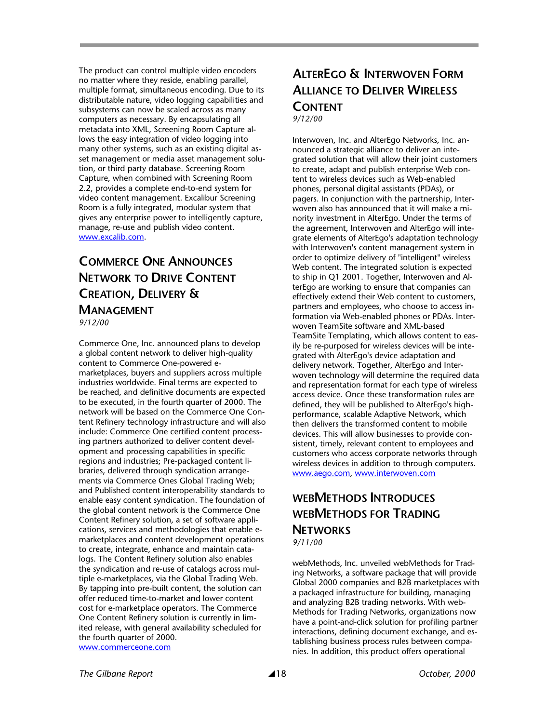The product can control multiple video encoders no matter where they reside, enabling parallel, multiple format, simultaneous encoding. Due to its distributable nature, video logging capabilities and subsystems can now be scaled across as many computers as necessary. By encapsulating all metadata into XML, Screening Room Capture allows the easy integration of video logging into many other systems, such as an existing digital asset management or media asset management solution, or third party database. Screening Room Capture, when combined with Screening Room 2.2, provides a complete end-to-end system for video content management. Excalibur Screening Room is a fully integrated, modular system that gives any enterprise power to intelligently capture, manage, re-use and publish video content. www.excalib.com.

## **COMMERCE ONE ANNOUNCES NETWORK TO DRIVE CONTENT CREATION, DELIVERY & MANAGEMENT**

*9/12/00* 

Commerce One, Inc. announced plans to develop a global content network to deliver high-quality content to Commerce One-powered emarketplaces, buyers and suppliers across multiple industries worldwide. Final terms are expected to be reached, and definitive documents are expected to be executed, in the fourth quarter of 2000. The network will be based on the Commerce One Content Refinery technology infrastructure and will also include: Commerce One certified content processing partners authorized to deliver content development and processing capabilities in specific regions and industries; Pre-packaged content libraries, delivered through syndication arrangements via Commerce Ones Global Trading Web; and Published content interoperability standards to enable easy content syndication. The foundation of the global content network is the Commerce One Content Refinery solution, a set of software applications, services and methodologies that enable emarketplaces and content development operations to create, integrate, enhance and maintain catalogs. The Content Refinery solution also enables the syndication and re-use of catalogs across multiple e-marketplaces, via the Global Trading Web. By tapping into pre-built content, the solution can offer reduced time-to-market and lower content cost for e-marketplace operators. The Commerce One Content Refinery solution is currently in limited release, with general availability scheduled for the fourth quarter of 2000. www.commerceone.com

## **ALTEREGO & INTERWOVEN FORM ALLIANCE TO DELIVER WIRELESS CONTENT** *9/12/00*

Interwoven, Inc. and AlterEgo Networks, Inc. announced a strategic alliance to deliver an integrated solution that will allow their joint customers to create, adapt and publish enterprise Web content to wireless devices such as Web-enabled phones, personal digital assistants (PDAs), or pagers. In conjunction with the partnership, Interwoven also has announced that it will make a minority investment in AlterEgo. Under the terms of the agreement, Interwoven and AlterEgo will integrate elements of AlterEgo's adaptation technology with Interwoven's content management system in order to optimize delivery of "intelligent" wireless Web content. The integrated solution is expected to ship in Q1 2001. Together, Interwoven and AlterEgo are working to ensure that companies can effectively extend their Web content to customers, partners and employees, who choose to access information via Web-enabled phones or PDAs. Interwoven TeamSite software and XML-based TeamSite Templating, which allows content to easily be re-purposed for wireless devices will be integrated with AlterEgo's device adaptation and delivery network. Together, AlterEgo and Interwoven technology will determine the required data and representation format for each type of wireless access device. Once these transformation rules are defined, they will be published to AlterEgo's highperformance, scalable Adaptive Network, which then delivers the transformed content to mobile devices. This will allow businesses to provide consistent, timely, relevant content to employees and customers who access corporate networks through wireless devices in addition to through computers. www.aego.com, www.interwoven.com

## **WEBMETHODS INTRODUCES WEBMETHODS FOR TRADING NETWORKS** *9/11/00*

webMethods, Inc. unveiled webMethods for Trading Networks, a software package that will provide Global 2000 companies and B2B marketplaces with a packaged infrastructure for building, managing and analyzing B2B trading networks. With web-Methods for Trading Networks, organizations now have a point-and-click solution for profiling partner interactions, defining document exchange, and establishing business process rules between companies. In addition, this product offers operational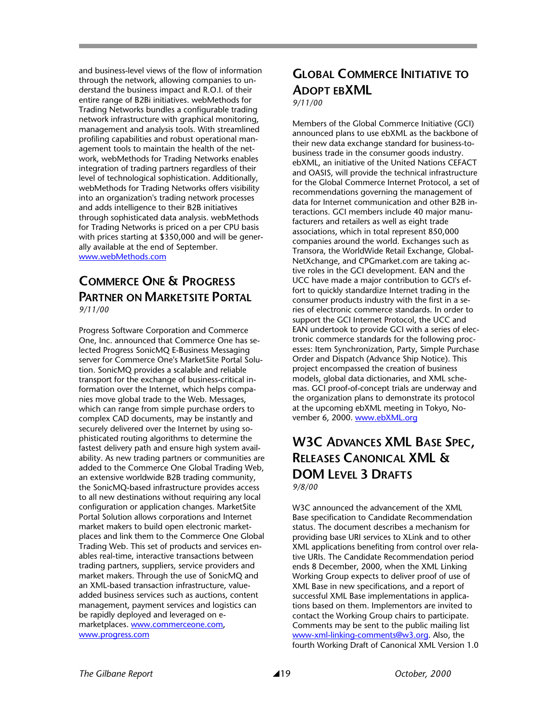and business-level views of the flow of information through the network, allowing companies to understand the business impact and R.O.I. of their entire range of B2Bi initiatives. webMethods for Trading Networks bundles a configurable trading network infrastructure with graphical monitoring, management and analysis tools. With streamlined profiling capabilities and robust operational management tools to maintain the health of the network, webMethods for Trading Networks enables integration of trading partners regardless of their level of technological sophistication. Additionally, webMethods for Trading Networks offers visibility into an organization's trading network processes and adds intelligence to their B2B initiatives through sophisticated data analysis. webMethods for Trading Networks is priced on a per CPU basis with prices starting at \$350,000 and will be generally available at the end of September. www.webMethods.com

#### **COMMERCE ONE & PROGRESS PARTNER ON MARKETSITE PORTAL** *9/11/00*

Progress Software Corporation and Commerce One, Inc. announced that Commerce One has selected Progress SonicMQ E-Business Messaging server for Commerce One's MarketSite Portal Solution. SonicMQ provides a scalable and reliable transport for the exchange of business-critical information over the Internet, which helps companies move global trade to the Web. Messages, which can range from simple purchase orders to complex CAD documents, may be instantly and securely delivered over the Internet by using sophisticated routing algorithms to determine the fastest delivery path and ensure high system availability. As new trading partners or communities are added to the Commerce One Global Trading Web, an extensive worldwide B2B trading community, the SonicMQ-based infrastructure provides access to all new destinations without requiring any local configuration or application changes. MarketSite Portal Solution allows corporations and Internet market makers to build open electronic marketplaces and link them to the Commerce One Global Trading Web. This set of products and services enables real-time, interactive transactions between trading partners, suppliers, service providers and market makers. Through the use of SonicMQ and an XML-based transaction infrastructure, valueadded business services such as auctions, content management, payment services and logistics can be rapidly deployed and leveraged on emarketplaces. www.commerceone.com, www.progress.com

## **GLOBAL COMMERCE INITIATIVE TO ADOPT EBXML**

*9/11/00* 

Members of the Global Commerce Initiative (GCI) announced plans to use ebXML as the backbone of their new data exchange standard for business-tobusiness trade in the consumer goods industry. ebXML, an initiative of the United Nations CEFACT and OASIS, will provide the technical infrastructure for the Global Commerce Internet Protocol, a set of recommendations governing the management of data for Internet communication and other B2B interactions. GCI members include 40 major manufacturers and retailers as well as eight trade associations, which in total represent 850,000 companies around the world. Exchanges such as Transora, the WorldWide Retail Exchange, Global-NetXchange, and CPGmarket.com are taking active roles in the GCI development. EAN and the UCC have made a major contribution to GCI's effort to quickly standardize Internet trading in the consumer products industry with the first in a series of electronic commerce standards. In order to support the GCI Internet Protocol, the UCC and EAN undertook to provide GCI with a series of electronic commerce standards for the following processes: Item Synchronization, Party, Simple Purchase Order and Dispatch (Advance Ship Notice). This project encompassed the creation of business models, global data dictionaries, and XML schemas. GCI proof-of-concept trials are underway and the organization plans to demonstrate its protocol at the upcoming ebXML meeting in Tokyo, November 6, 2000. www.ebXML.org

## **W3C ADVANCES XML BASE SPEC, RELEASES CANONICAL XML & DOM LEVEL 3 DRAFTS** *9/8/00*

W3C announced the advancement of the XML Base specification to Candidate Recommendation status. The document describes a mechanism for providing base URI services to XLink and to other XML applications benefiting from control over relative URIs. The Candidate Recommendation period ends 8 December, 2000, when the XML Linking Working Group expects to deliver proof of use of XML Base in new specifications, and a report of successful XML Base implementations in applications based on them. Implementors are invited to contact the Working Group chairs to participate. Comments may be sent to the public mailing list www-xml-linking-comments@w3.org. Also, the fourth Working Draft of Canonical XML Version 1.0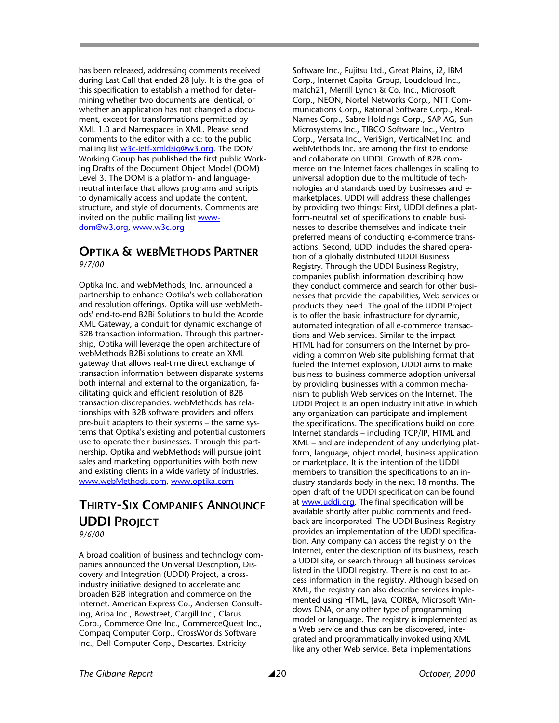has been released, addressing comments received during Last Call that ended 28 July. It is the goal of this specification to establish a method for determining whether two documents are identical, or whether an application has not changed a document, except for transformations permitted by XML 1.0 and Namespaces in XML. Please send comments to the editor with a cc: to the public mailing list w3c-ietf-xmldsig@w3.org. The DOM Working Group has published the first public Working Drafts of the Document Object Model (DOM) Level 3. The DOM is a platform- and languageneutral interface that allows programs and scripts to dynamically access and update the content, structure, and style of documents. Comments are invited on the public mailing list wwwdom@w3.org, www.w3c.org

#### **OPTIKA & WEBMETHODS PARTNER** *9/7/00*

Optika Inc. and webMethods, Inc. announced a partnership to enhance Optika's web collaboration and resolution offerings. Optika will use webMethods' end-to-end B2Bi Solutions to build the Acorde XML Gateway, a conduit for dynamic exchange of B2B transaction information. Through this partnership, Optika will leverage the open architecture of webMethods B2Bi solutions to create an XML gateway that allows real-time direct exchange of transaction information between disparate systems both internal and external to the organization, facilitating quick and efficient resolution of B2B transaction discrepancies. webMethods has relationships with B2B software providers and offers pre-built adapters to their systems – the same systems that Optika's existing and potential customers use to operate their businesses. Through this partnership, Optika and webMethods will pursue joint sales and marketing opportunities with both new and existing clients in a wide variety of industries. www.webMethods.com, www.optika.com

## **THIRTY-SIX COMPANIES ANNOUNCE UDDI PROJECT**

*9/6/00* 

A broad coalition of business and technology companies announced the Universal Description, Discovery and Integration (UDDI) Project, a crossindustry initiative designed to accelerate and broaden B2B integration and commerce on the Internet. American Express Co., Andersen Consulting, Ariba Inc., Bowstreet, Cargill Inc., Clarus Corp., Commerce One Inc., CommerceQuest Inc., Compaq Computer Corp., CrossWorlds Software Inc., Dell Computer Corp., Descartes, Extricity

Software Inc., Fujitsu Ltd., Great Plains, i2, IBM Corp., Internet Capital Group, Loudcloud Inc., match21, Merrill Lynch & Co. Inc., Microsoft Corp., NEON, Nortel Networks Corp., NTT Communications Corp., Rational Software Corp., Real-Names Corp., Sabre Holdings Corp., SAP AG, Sun Microsystems Inc., TIBCO Software Inc., Ventro Corp., Versata Inc., VeriSign, VerticalNet Inc. and webMethods Inc. are among the first to endorse and collaborate on UDDI. Growth of B2B commerce on the Internet faces challenges in scaling to universal adoption due to the multitude of technologies and standards used by businesses and emarketplaces. UDDI will address these challenges by providing two things: First, UDDI defines a platform-neutral set of specifications to enable businesses to describe themselves and indicate their preferred means of conducting e-commerce transactions. Second, UDDI includes the shared operation of a globally distributed UDDI Business Registry. Through the UDDI Business Registry, companies publish information describing how they conduct commerce and search for other businesses that provide the capabilities, Web services or products they need. The goal of the UDDI Project is to offer the basic infrastructure for dynamic, automated integration of all e-commerce transactions and Web services. Similar to the impact HTML had for consumers on the Internet by providing a common Web site publishing format that fueled the Internet explosion, UDDI aims to make business-to-business commerce adoption universal by providing businesses with a common mechanism to publish Web services on the Internet. The UDDI Project is an open industry initiative in which any organization can participate and implement the specifications. The specifications build on core Internet standards – including TCP/IP, HTML and XML – and are independent of any underlying platform, language, object model, business application or marketplace. It is the intention of the UDDI members to transition the specifications to an industry standards body in the next 18 months. The open draft of the UDDI specification can be found at www.uddi.org. The final specification will be available shortly after public comments and feedback are incorporated. The UDDI Business Registry provides an implementation of the UDDI specification. Any company can access the registry on the Internet, enter the description of its business, reach a UDDI site, or search through all business services listed in the UDDI registry. There is no cost to access information in the registry. Although based on XML, the registry can also describe services implemented using HTML, Java, CORBA, Microsoft Windows DNA, or any other type of programming model or language. The registry is implemented as a Web service and thus can be discovered, integrated and programmatically invoked using XML like any other Web service. Beta implementations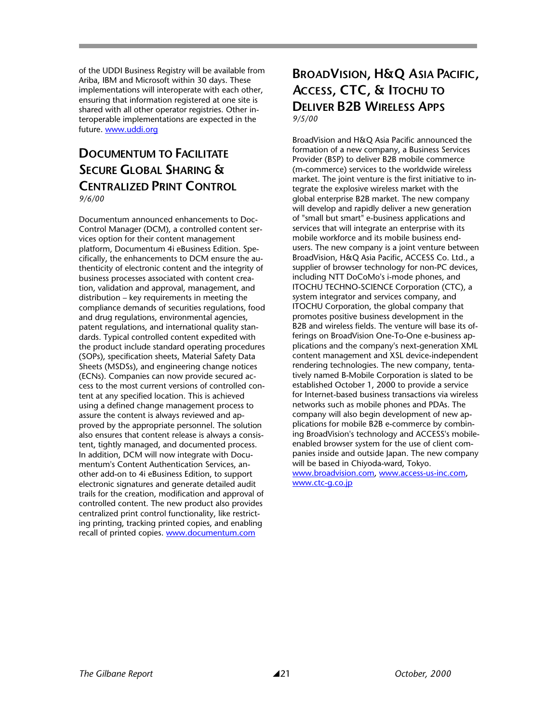of the UDDI Business Registry will be available from Ariba, IBM and Microsoft within 30 days. These implementations will interoperate with each other, ensuring that information registered at one site is shared with all other operator registries. Other interoperable implementations are expected in the future. www.uddi.org

## **DOCUMENTUM TO FACILITATE SECURE GLOBAL SHARING & CENTRALIZED PRINT CONTROL** *9/6/00*

Documentum announced enhancements to Doc-Control Manager (DCM), a controlled content services option for their content management platform, Documentum 4i eBusiness Edition. Specifically, the enhancements to DCM ensure the authenticity of electronic content and the integrity of business processes associated with content creation, validation and approval, management, and distribution – key requirements in meeting the compliance demands of securities regulations, food and drug regulations, environmental agencies, patent regulations, and international quality standards. Typical controlled content expedited with the product include standard operating procedures (SOPs), specification sheets, Material Safety Data Sheets (MSDSs), and engineering change notices (ECNs). Companies can now provide secured access to the most current versions of controlled content at any specified location. This is achieved using a defined change management process to assure the content is always reviewed and approved by the appropriate personnel. The solution also ensures that content release is always a consistent, tightly managed, and documented process. In addition, DCM will now integrate with Documentum's Content Authentication Services, another add-on to 4i eBusiness Edition, to support electronic signatures and generate detailed audit trails for the creation, modification and approval of controlled content. The new product also provides centralized print control functionality, like restricting printing, tracking printed copies, and enabling recall of printed copies. www.documentum.com

## **BROADVISION, H&Q ASIA PACIFIC, ACCESS, CTC, & ITOCHU TO DELIVER B2B WIRELESS APPS** *9/5/00*

BroadVision and H&Q Asia Pacific announced the formation of a new company, a Business Services Provider (BSP) to deliver B2B mobile commerce (m-commerce) services to the worldwide wireless market. The joint venture is the first initiative to integrate the explosive wireless market with the global enterprise B2B market. The new company will develop and rapidly deliver a new generation of "small but smart" e-business applications and services that will integrate an enterprise with its mobile workforce and its mobile business endusers. The new company is a joint venture between BroadVision, H&Q Asia Pacific, ACCESS Co. Ltd., a supplier of browser technology for non-PC devices, including NTT DoCoMo's i-mode phones, and ITOCHU TECHNO-SCIENCE Corporation (CTC), a system integrator and services company, and ITOCHU Corporation, the global company that promotes positive business development in the B2B and wireless fields. The venture will base its offerings on BroadVision One-To-One e-business applications and the company's next-generation XML content management and XSL device-independent rendering technologies. The new company, tentatively named B-Mobile Corporation is slated to be established October 1, 2000 to provide a service for Internet-based business transactions via wireless networks such as mobile phones and PDAs. The company will also begin development of new applications for mobile B2B e-commerce by combining BroadVision's technology and ACCESS's mobileenabled browser system for the use of client companies inside and outside Japan. The new company will be based in Chiyoda-ward, Tokyo. www.broadvision.com, www.access-us-inc.com, www.ctc-g.co.jp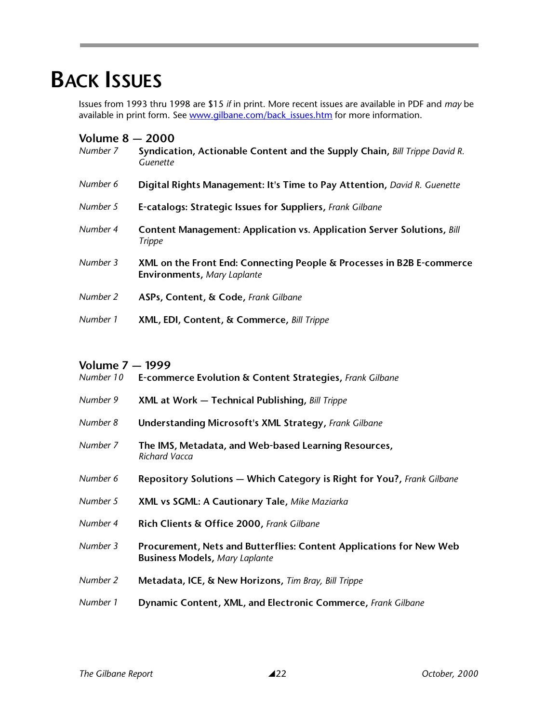# **BACK ISSUES**

Issues from 1993 thru 1998 are \$15 *if* in print. More recent issues are available in PDF and *may* be available in print form. See www.gilbane.com/back\_issues.htm for more information.

| <b>Volume 8 - 2000</b><br>Number 7 | Syndication, Actionable Content and the Supply Chain, Bill Trippe David R.<br>Guenette               |
|------------------------------------|------------------------------------------------------------------------------------------------------|
| Number 6                           | Digital Rights Management: It's Time to Pay Attention, David R. Guenette                             |
| Number 5                           | E-catalogs: Strategic Issues for Suppliers, Frank Gilbane                                            |
| Number 4                           | Content Management: Application vs. Application Server Solutions, Bill<br><b>Trippe</b>              |
| Number 3                           | XML on the Front End: Connecting People & Processes in B2B E-commerce<br>Environments, Mary Laplante |
| Number 2                           | ASPs, Content, & Code, Frank Gilbane                                                                 |
| Number 1                           | XML, EDI, Content, & Commerce, Bill Trippe                                                           |

#### **Volume 7 — 1999**

| Number 10 | E-commerce Evolution & Content Strategies, Frank Gilbane                                                     |  |  |
|-----------|--------------------------------------------------------------------------------------------------------------|--|--|
| Number 9  | XML at Work - Technical Publishing, Bill Trippe                                                              |  |  |
| Number 8  | <b>Understanding Microsoft's XML Strategy, Frank Gilbane</b>                                                 |  |  |
| Number 7  | The IMS, Metadata, and Web-based Learning Resources,<br>Richard Vacca                                        |  |  |
| Number 6  | Repository Solutions - Which Category is Right for You?, Frank Gilbane                                       |  |  |
| Number 5  | XML vs SGML: A Cautionary Tale, Mike Maziarka                                                                |  |  |
| Number 4  | Rich Clients & Office 2000, Frank Gilbane                                                                    |  |  |
| Number 3  | Procurement, Nets and Butterflies: Content Applications for New Web<br><b>Business Models, Mary Laplante</b> |  |  |
| Number 2  | Metadata, ICE, & New Horizons, Tim Bray, Bill Trippe                                                         |  |  |
| Number 1  | Dynamic Content, XML, and Electronic Commerce, Frank Gilbane                                                 |  |  |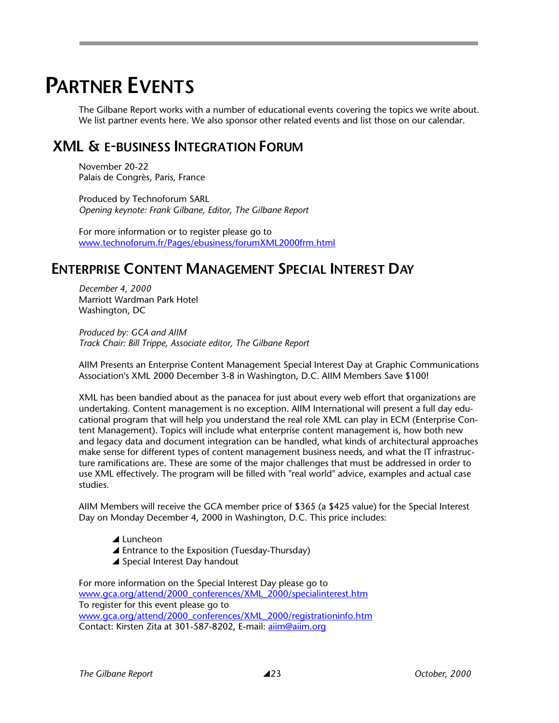# **PARTNER EVENTS**

The Gilbane Report works with a number of educational events covering the topics we write about. We list partner events here. We also sponsor other related events and list those on our calendar.

## **XML & E-BUSINESS INTEGRATION FORUM**

November 20-22 Palais de Congrès, Paris, France

Produced by Technoforum SARL *Opening keynote: Frank Gilbane, Editor, The Gilbane Report*

For more information or to register please go to www.technoforum.fr/Pages/ebusiness/forumXML2000frm.html

## **ENTERPRISE CONTENT MANAGEMENT SPECIAL INTEREST DAY**

*December 4, 2000*  Marriott Wardman Park Hotel Washington, DC

*Produced by: GCA and AIIM Track Chair: Bill Trippe, Associate editor, The Gilbane Report*

AIIM Presents an Enterprise Content Management Special Interest Day at Graphic Communications Association's XML 2000 December 3-8 in Washington, D.C. AIIM Members Save \$100!

XML has been bandied about as the panacea for just about every web effort that organizations are undertaking. Content management is no exception. AIIM International will present a full day educational program that will help you understand the real role XML can play in ECM (Enterprise Content Management). Topics will include what enterprise content management is, how both new and legacy data and document integration can be handled, what kinds of architectural approaches make sense for different types of content management business needs, and what the IT infrastructure ramifications are. These are some of the major challenges that must be addressed in order to use XML effectively. The program will be filled with "real world" advice, examples and actual case studies.

AIIM Members will receive the GCA member price of \$365 (a \$425 value) for the Special Interest Day on Monday December 4, 2000 in Washington, D.C. This price includes:

- $\blacktriangle$  Luncheon
- $\blacktriangle$  Entrance to the Exposition (Tuesday-Thursday)
- $\triangle$  Special Interest Day handout

For more information on the Special Interest Day please go to www.gca.org/attend/2000\_conferences/XML\_2000/specialinterest.htm To register for this event please go to www.gca.org/attend/2000\_conferences/XML\_2000/registrationinfo.htm Contact: Kirsten Zita at 301-587-8202, E-mail: aiim@aiim.org